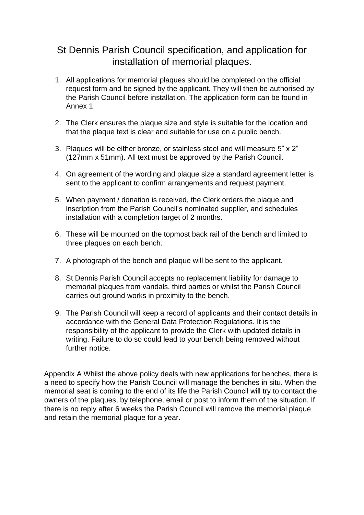## St Dennis Parish Council specification, and application for installation of memorial plaques.

- 1. All applications for memorial plaques should be completed on the official request form and be signed by the applicant. They will then be authorised by the Parish Council before installation. The application form can be found in Annex 1.
- 2. The Clerk ensures the plaque size and style is suitable for the location and that the plaque text is clear and suitable for use on a public bench.
- 3. Plaques will be either bronze, or stainless steel and will measure 5" x 2" (127mm x 51mm). All text must be approved by the Parish Council.
- 4. On agreement of the wording and plaque size a standard agreement letter is sent to the applicant to confirm arrangements and request payment.
- 5. When payment / donation is received, the Clerk orders the plaque and inscription from the Parish Council's nominated supplier, and schedules installation with a completion target of 2 months.
- 6. These will be mounted on the topmost back rail of the bench and limited to three plaques on each bench.
- 7. A photograph of the bench and plaque will be sent to the applicant.
- 8. St Dennis Parish Council accepts no replacement liability for damage to memorial plaques from vandals, third parties or whilst the Parish Council carries out ground works in proximity to the bench.
- 9. The Parish Council will keep a record of applicants and their contact details in accordance with the General Data Protection Regulations. It is the responsibility of the applicant to provide the Clerk with updated details in writing. Failure to do so could lead to your bench being removed without further notice.

Appendix A Whilst the above policy deals with new applications for benches, there is a need to specify how the Parish Council will manage the benches in situ. When the memorial seat is coming to the end of its life the Parish Council will try to contact the owners of the plaques, by telephone, email or post to inform them of the situation. If there is no reply after 6 weeks the Parish Council will remove the memorial plaque and retain the memorial plaque for a year.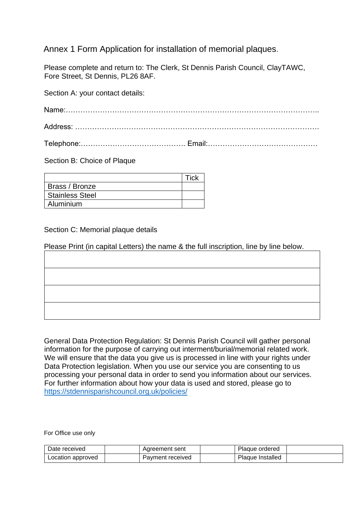## Annex 1 Form Application for installation of memorial plaques.

Please complete and return to: The Clerk, St Dennis Parish Council, ClayTAWC, Fore Street, St Dennis, PL26 8AF.

Section A: your contact details:

Section B: Choice of Plaque

| Brass / Bronze         |  |
|------------------------|--|
| <b>Stainless Steel</b> |  |
| Aluminium              |  |

## Section C: Memorial plaque details

Please Print (in capital Letters) the name & the full inscription, line by line below.

| <u> De Carlos de Carlos de Carlos de Carlos de Carlos de Carlos de Carlos de Carlos de Carlos de Carlos de Carlos </u> |
|------------------------------------------------------------------------------------------------------------------------|
|                                                                                                                        |
|                                                                                                                        |
|                                                                                                                        |
|                                                                                                                        |
|                                                                                                                        |
|                                                                                                                        |

General Data Protection Regulation: St Dennis Parish Council will gather personal information for the purpose of carrying out interment/burial/memorial related work. We will ensure that the data you give us is processed in line with your rights under Data Protection legislation. When you use our service you are consenting to us processing your personal data in order to send you information about our services. For further information about how your data is used and stored, please go to <https://stdennisparishcouncil.org.uk/policies/>

For Office use only

| Date received     | Agreement sent   | Plaque ordered   |  |
|-------------------|------------------|------------------|--|
| Location approved | Payment received | Plaque Installed |  |